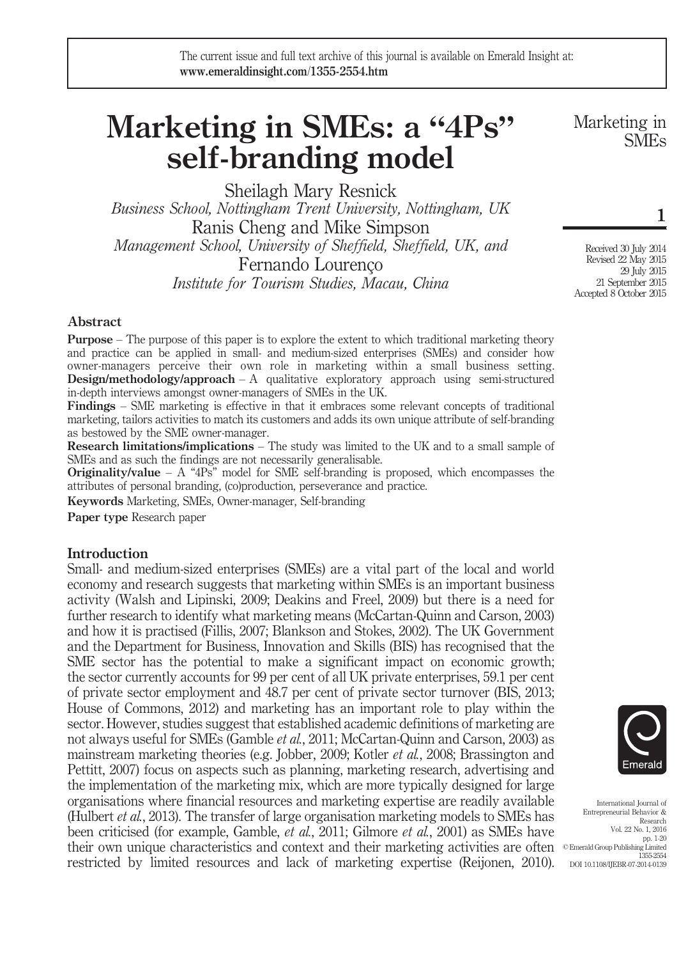# Marketing in SMEs: a "4Ps" self-branding model

Sheilagh Mary Resnick

Business School, Nottingham Trent University, Nottingham, UK Ranis Cheng and Mike Simpson Management School, University of Sheffield, Sheffield, UK, and Fernando Lourenço Institute for Tourism Studies, Macau, China

Marketing in SMEs

1

Received 30 July 2014 Revised 22 May 2015 29 July 2015 21 September 2015 Accepted 8 October 2015

# Abstract

**Purpose** – The purpose of this paper is to explore the extent to which traditional marketing theory and practice can be applied in small- and medium-sized enterprises (SMEs) and consider how owner-managers perceive their own role in marketing within a small business setting. **Design/methodology/approach** – A qualitative exploratory approach using semi-structured in-depth interviews amongst owner-managers of SMEs in the UK.

Findings – SME marketing is effective in that it embraces some relevant concepts of traditional marketing, tailors activities to match its customers and adds its own unique attribute of self-branding as bestowed by the SME owner-manager.

Research limitations/implications – The study was limited to the UK and to a small sample of SMEs and as such the findings are not necessarily generalisable.

**Originality/value** – A "4Ps" model for SME self-branding is proposed, which encompasses the attributes of personal branding, (co)production, perseverance and practice.

Keywords Marketing, SMEs, Owner-manager, Self-branding

Paper type Research paper

### **Introduction**

Small- and medium-sized enterprises (SMEs) are a vital part of the local and world economy and research suggests that marketing within SMEs is an important business activity (Walsh and Lipinski, 2009; Deakins and Freel, 2009) but there is a need for further research to identify what marketing means (McCartan-Quinn and Carson, 2003) and how it is practised (Fillis, 2007; Blankson and Stokes, 2002). The UK Government and the Department for Business, Innovation and Skills (BIS) has recognised that the SME sector has the potential to make a significant impact on economic growth; the sector currently accounts for 99 per cent of all UK private enterprises, 59.1 per cent of private sector employment and 48.7 per cent of private sector turnover (BIS, 2013; House of Commons, 2012) and marketing has an important role to play within the sector. However, studies suggest that established academic definitions of marketing are not always useful for SMEs (Gamble *et al.*, 2011; McCartan-Quinn and Carson, 2003) as mainstream marketing theories (e.g. Jobber, 2009; Kotler et al., 2008; Brassington and Pettitt, 2007) focus on aspects such as planning, marketing research, advertising and the implementation of the marketing mix, which are more typically designed for large organisations where financial resources and marketing expertise are readily available (Hulbert et al., 2013). The transfer of large organisation marketing models to SMEs has been criticised (for example, Gamble, et al., 2011; Gilmore et al., 2001) as SMEs have their own unique characteristics and context and their marketing activities are often <sup>© Emerald Group Publishing Limited</sup> restricted by limited resources and lack of marketing expertise (Reijonen, 2010).



International Journal of Entrepreneurial Behavior & Research Vol. 22 No. 1, 2016 pp. 1-20 1355-2554 DOI 10.1108/IJEBR-07-2014-0139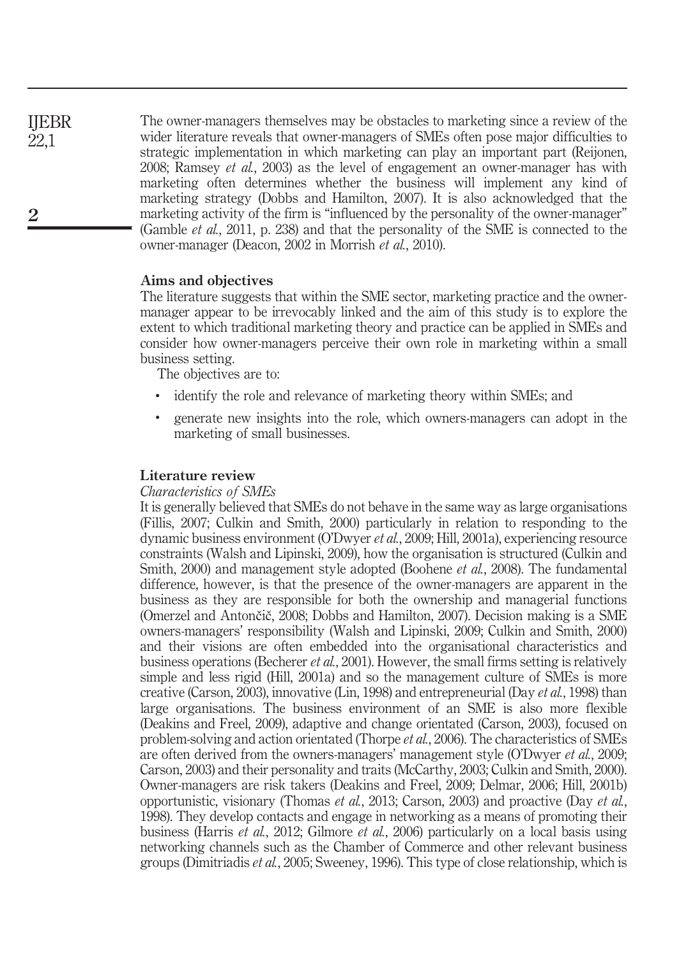The owner-managers themselves may be obstacles to marketing since a review of the wider literature reveals that owner-managers of SMEs often pose major difficulties to strategic implementation in which marketing can play an important part (Reijonen, 2008; Ramsey et al., 2003) as the level of engagement an owner-manager has with marketing often determines whether the business will implement any kind of marketing strategy (Dobbs and Hamilton, 2007). It is also acknowledged that the marketing activity of the firm is "influenced by the personality of the owner-manager" (Gamble et al., 2011, p. 238) and that the personality of the SME is connected to the owner-manager (Deacon, 2002 in Morrish et al., 2010).

### Aims and objectives

The literature suggests that within the SME sector, marketing practice and the ownermanager appear to be irrevocably linked and the aim of this study is to explore the extent to which traditional marketing theory and practice can be applied in SMEs and consider how owner-managers perceive their own role in marketing within a small business setting.

The objectives are to:

- identify the role and relevance of marketing theory within SMEs; and
- generate new insights into the role, which owners-managers can adopt in the marketing of small businesses.

#### Literature review

### Characteristics of SMEs

It is generally believed that SMEs do not behave in the same way as large organisations (Fillis, 2007; Culkin and Smith, 2000) particularly in relation to responding to the dynamic business environment (O'Dwyer et al., 2009; Hill, 2001a), experiencing resource constraints (Walsh and Lipinski, 2009), how the organisation is structured (Culkin and Smith, 2000) and management style adopted (Boohene et al., 2008). The fundamental difference, however, is that the presence of the owner-managers are apparent in the business as they are responsible for both the ownership and managerial functions (Omerzel and Antončič, 2008; Dobbs and Hamilton, 2007). Decision making is a SME owners-managers' responsibility (Walsh and Lipinski, 2009; Culkin and Smith, 2000) and their visions are often embedded into the organisational characteristics and business operations (Becherer et al., 2001). However, the small firms setting is relatively simple and less rigid (Hill, 2001a) and so the management culture of SMEs is more creative (Carson, 2003), innovative (Lin, 1998) and entrepreneurial (Day et al., 1998) than large organisations. The business environment of an SME is also more flexible (Deakins and Freel, 2009), adaptive and change orientated (Carson, 2003), focused on problem-solving and action orientated (Thorpe et al., 2006). The characteristics of SMEs are often derived from the owners-managers' management style (O'Dwyer et al., 2009; Carson, 2003) and their personality and traits (McCarthy, 2003; Culkin and Smith, 2000). Owner-managers are risk takers (Deakins and Freel, 2009; Delmar, 2006; Hill, 2001b) opportunistic, visionary (Thomas et al., 2013; Carson, 2003) and proactive (Day et al., 1998). They develop contacts and engage in networking as a means of promoting their business (Harris et al., 2012; Gilmore et al., 2006) particularly on a local basis using networking channels such as the Chamber of Commerce and other relevant business groups (Dimitriadis et al., 2005; Sweeney, 1996). This type of close relationship, which is

IJEBR 22,1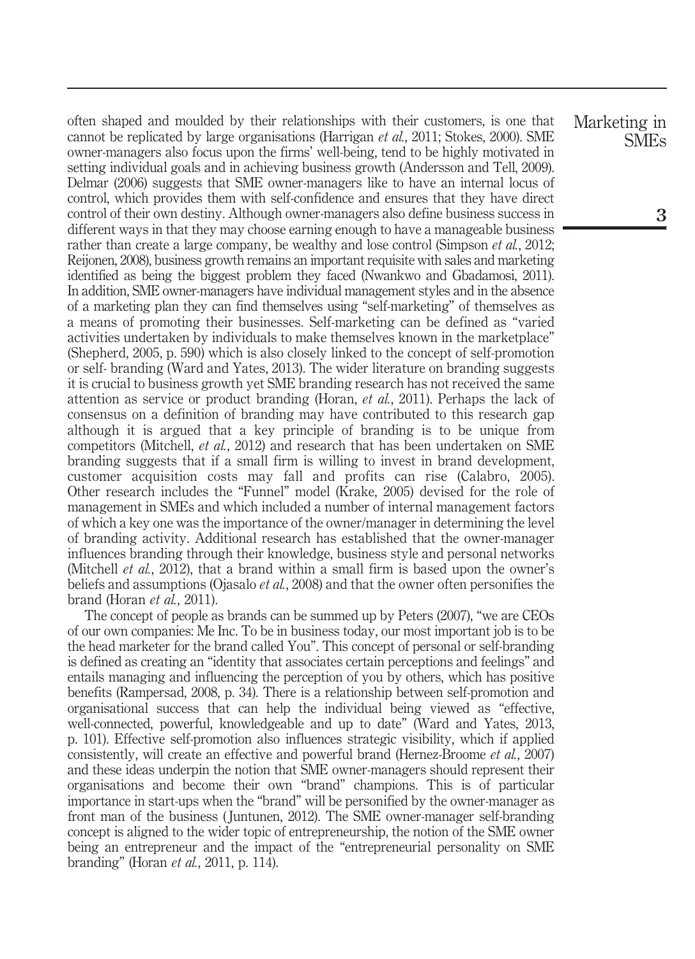often shaped and moulded by their relationships with their customers, is one that cannot be replicated by large organisations (Harrigan *et al.*, 2011; Stokes, 2000). SME owner-managers also focus upon the firms' well-being, tend to be highly motivated in setting individual goals and in achieving business growth (Andersson and Tell, 2009). Delmar (2006) suggests that SME owner-managers like to have an internal locus of control, which provides them with self-confidence and ensures that they have direct control of their own destiny. Although owner-managers also define business success in different ways in that they may choose earning enough to have a manageable business rather than create a large company, be wealthy and lose control (Simpson *et al.*, 2012; Reijonen, 2008), business growth remains an important requisite with sales and marketing identified as being the biggest problem they faced (Nwankwo and Gbadamosi, 2011). In addition, SME owner-managers have individual management styles and in the absence of a marketing plan they can find themselves using "self-marketing" of themselves as a means of promoting their businesses. Self-marketing can be defined as "varied activities undertaken by individuals to make themselves known in the marketplace" (Shepherd, 2005, p. 590) which is also closely linked to the concept of self-promotion or self- branding (Ward and Yates, 2013). The wider literature on branding suggests it is crucial to business growth yet SME branding research has not received the same attention as service or product branding (Horan, et al., 2011). Perhaps the lack of consensus on a definition of branding may have contributed to this research gap although it is argued that a key principle of branding is to be unique from competitors (Mitchell, et al., 2012) and research that has been undertaken on SME branding suggests that if a small firm is willing to invest in brand development, customer acquisition costs may fall and profits can rise (Calabro, 2005). Other research includes the "Funnel" model (Krake, 2005) devised for the role of management in SMEs and which included a number of internal management factors of which a key one was the importance of the owner/manager in determining the level of branding activity. Additional research has established that the owner-manager influences branding through their knowledge, business style and personal networks (Mitchell *et al.*, 2012), that a brand within a small firm is based upon the owner's beliefs and assumptions (Ojasalo *et al.*, 2008) and that the owner often personifies the brand (Horan et al., 2011).

The concept of people as brands can be summed up by Peters (2007), "we are CEOs of our own companies: Me Inc. To be in business today, our most important job is to be the head marketer for the brand called You". This concept of personal or self-branding is defined as creating an "identity that associates certain perceptions and feelings" and entails managing and influencing the perception of you by others, which has positive benefits (Rampersad, 2008, p. 34). There is a relationship between self-promotion and organisational success that can help the individual being viewed as "effective, well-connected, powerful, knowledgeable and up to date" (Ward and Yates, 2013, p. 101). Effective self-promotion also influences strategic visibility, which if applied consistently, will create an effective and powerful brand (Hernez-Broome et al., 2007) and these ideas underpin the notion that SME owner-managers should represent their organisations and become their own "brand" champions. This is of particular importance in start-ups when the "brand" will be personified by the owner-manager as front man of the business ( Juntunen, 2012). The SME owner-manager self-branding concept is aligned to the wider topic of entrepreneurship, the notion of the SME owner being an entrepreneur and the impact of the "entrepreneurial personality on SME branding" (Horan *et al.*, 2011, p. 114).

Marketing in SMEs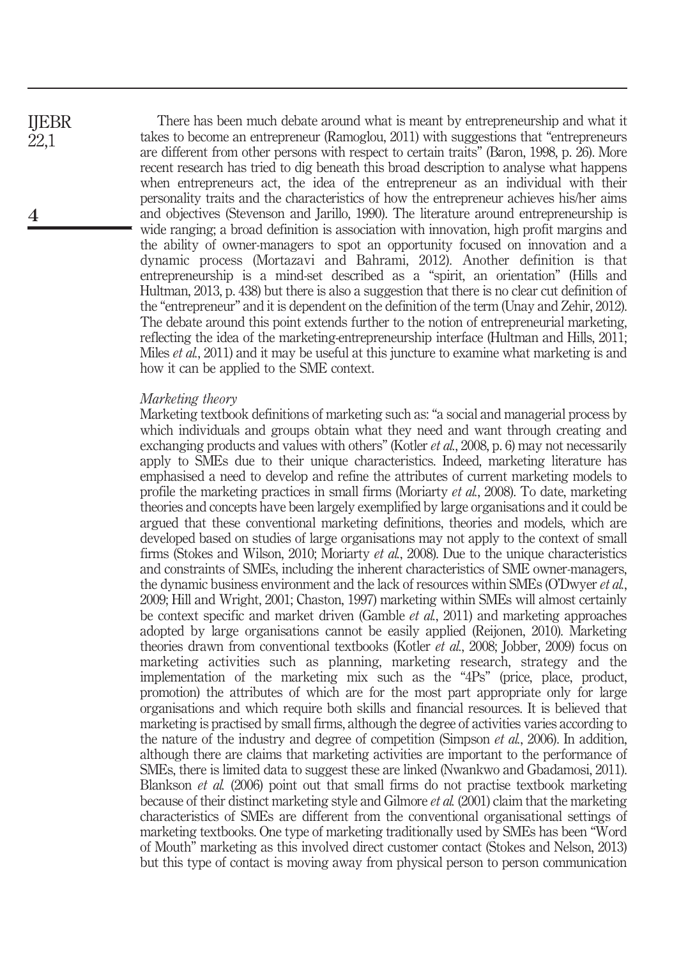There has been much debate around what is meant by entrepreneurship and what it takes to become an entrepreneur (Ramoglou, 2011) with suggestions that "entrepreneurs are different from other persons with respect to certain traits" (Baron, 1998, p. 26). More recent research has tried to dig beneath this broad description to analyse what happens when entrepreneurs act, the idea of the entrepreneur as an individual with their personality traits and the characteristics of how the entrepreneur achieves his/her aims and objectives (Stevenson and Jarillo, 1990). The literature around entrepreneurship is wide ranging; a broad definition is association with innovation, high profit margins and the ability of owner-managers to spot an opportunity focused on innovation and a dynamic process (Mortazavi and Bahrami, 2012). Another definition is that entrepreneurship is a mind-set described as a "spirit, an orientation" (Hills and Hultman, 2013, p. 438) but there is also a suggestion that there is no clear cut definition of the "entrepreneur" and it is dependent on the definition of the term (Unay and Zehir, 2012). The debate around this point extends further to the notion of entrepreneurial marketing, reflecting the idea of the marketing-entrepreneurship interface (Hultman and Hills, 2011; Miles *et al.*, 2011) and it may be useful at this juncture to examine what marketing is and how it can be applied to the SME context.

#### Marketing theory

Marketing textbook definitions of marketing such as: "a social and managerial process by which individuals and groups obtain what they need and want through creating and exchanging products and values with others" (Kotler *et al.*, 2008, p. 6) may not necessarily apply to SMEs due to their unique characteristics. Indeed, marketing literature has emphasised a need to develop and refine the attributes of current marketing models to profile the marketing practices in small firms (Moriarty et al., 2008). To date, marketing theories and concepts have been largely exemplified by large organisations and it could be argued that these conventional marketing definitions, theories and models, which are developed based on studies of large organisations may not apply to the context of small firms (Stokes and Wilson, 2010; Moriarty et al., 2008). Due to the unique characteristics and constraints of SMEs, including the inherent characteristics of SME owner-managers, the dynamic business environment and the lack of resources within SMEs (O'Dwyer *et al.*, 2009; Hill and Wright, 2001; Chaston, 1997) marketing within SMEs will almost certainly be context specific and market driven (Gamble et al., 2011) and marketing approaches adopted by large organisations cannot be easily applied (Reijonen, 2010). Marketing theories drawn from conventional textbooks (Kotler et al., 2008; Jobber, 2009) focus on marketing activities such as planning, marketing research, strategy and the implementation of the marketing mix such as the "4Ps" (price, place, product, promotion) the attributes of which are for the most part appropriate only for large organisations and which require both skills and financial resources. It is believed that marketing is practised by small firms, although the degree of activities varies according to the nature of the industry and degree of competition (Simpson *et al.*, 2006). In addition, although there are claims that marketing activities are important to the performance of SMEs, there is limited data to suggest these are linked (Nwankwo and Gbadamosi, 2011). Blankson et al. (2006) point out that small firms do not practise textbook marketing because of their distinct marketing style and Gilmore et al. (2001) claim that the marketing characteristics of SMEs are different from the conventional organisational settings of marketing textbooks. One type of marketing traditionally used by SMEs has been "Word of Mouth" marketing as this involved direct customer contact (Stokes and Nelson, 2013) but this type of contact is moving away from physical person to person communication

IJEBR 22,1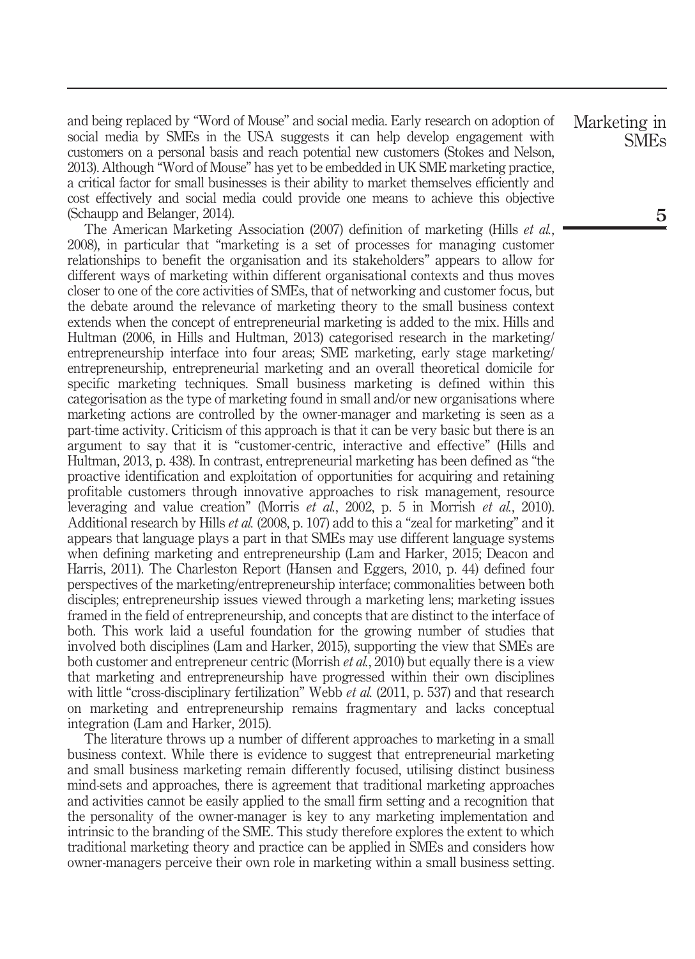and being replaced by "Word of Mouse" and social media. Early research on adoption of social media by SMEs in the USA suggests it can help develop engagement with customers on a personal basis and reach potential new customers (Stokes and Nelson, 2013). Although "Word of Mouse" has yet to be embedded in UK SME marketing practice, a critical factor for small businesses is their ability to market themselves efficiently and cost effectively and social media could provide one means to achieve this objective (Schaupp and Belanger, 2014).

The American Marketing Association (2007) definition of marketing (Hills et al., 2008), in particular that "marketing is a set of processes for managing customer relationships to benefit the organisation and its stakeholders" appears to allow for different ways of marketing within different organisational contexts and thus moves closer to one of the core activities of SMEs, that of networking and customer focus, but the debate around the relevance of marketing theory to the small business context extends when the concept of entrepreneurial marketing is added to the mix. Hills and Hultman (2006, in Hills and Hultman, 2013) categorised research in the marketing/ entrepreneurship interface into four areas; SME marketing, early stage marketing/ entrepreneurship, entrepreneurial marketing and an overall theoretical domicile for specific marketing techniques. Small business marketing is defined within this categorisation as the type of marketing found in small and/or new organisations where marketing actions are controlled by the owner-manager and marketing is seen as a part-time activity. Criticism of this approach is that it can be very basic but there is an argument to say that it is "customer-centric, interactive and effective" (Hills and Hultman, 2013, p. 438). In contrast, entrepreneurial marketing has been defined as "the proactive identification and exploitation of opportunities for acquiring and retaining profitable customers through innovative approaches to risk management, resource leveraging and value creation" (Morris *et al.*, 2002, p. 5 in Morrish *et al.*, 2010). Additional research by Hills *et al.* (2008, p. 107) add to this a "zeal for marketing" and it appears that language plays a part in that SMEs may use different language systems when defining marketing and entrepreneurship (Lam and Harker, 2015; Deacon and Harris, 2011). The Charleston Report (Hansen and Eggers, 2010, p. 44) defined four perspectives of the marketing/entrepreneurship interface; commonalities between both disciples; entrepreneurship issues viewed through a marketing lens; marketing issues framed in the field of entrepreneurship, and concepts that are distinct to the interface of both. This work laid a useful foundation for the growing number of studies that involved both disciplines (Lam and Harker, 2015), supporting the view that SMEs are both customer and entrepreneur centric (Morrish et al., 2010) but equally there is a view that marketing and entrepreneurship have progressed within their own disciplines with little "cross-disciplinary fertilization" Webb et al. (2011, p. 537) and that research on marketing and entrepreneurship remains fragmentary and lacks conceptual integration (Lam and Harker, 2015).

The literature throws up a number of different approaches to marketing in a small business context. While there is evidence to suggest that entrepreneurial marketing and small business marketing remain differently focused, utilising distinct business mind-sets and approaches, there is agreement that traditional marketing approaches and activities cannot be easily applied to the small firm setting and a recognition that the personality of the owner-manager is key to any marketing implementation and intrinsic to the branding of the SME. This study therefore explores the extent to which traditional marketing theory and practice can be applied in SMEs and considers how owner-managers perceive their own role in marketing within a small business setting.

Marketing in SMEs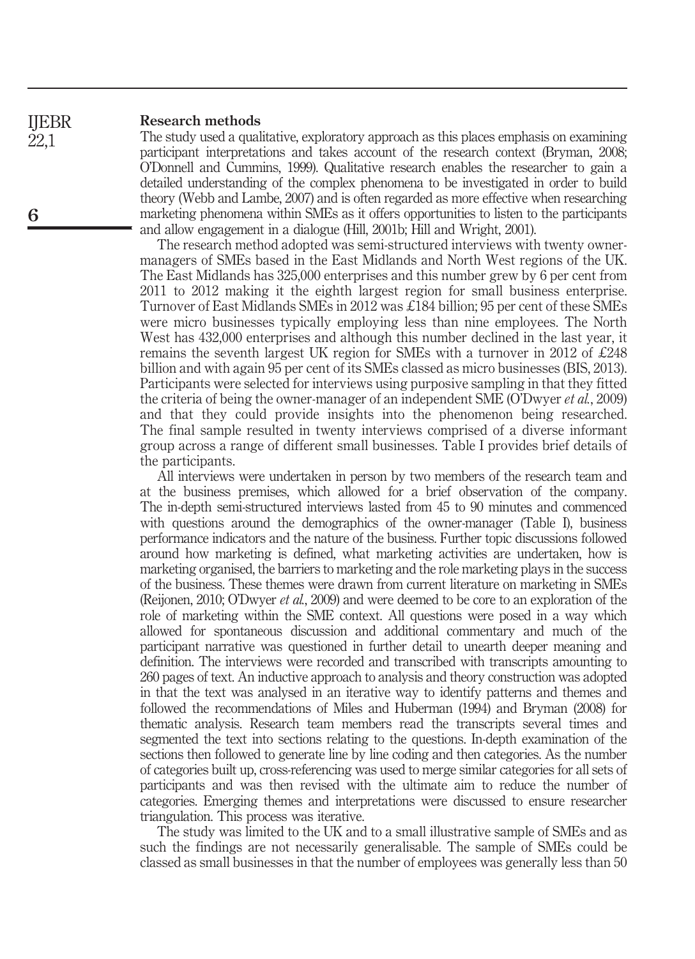#### Research methods IJEBR

The study used a qualitative, exploratory approach as this places emphasis on examining participant interpretations and takes account of the research context (Bryman, 2008; O'Donnell and Cummins, 1999). Qualitative research enables the researcher to gain a detailed understanding of the complex phenomena to be investigated in order to build theory (Webb and Lambe, 2007) and is often regarded as more effective when researching marketing phenomena within SMEs as it offers opportunities to listen to the participants and allow engagement in a dialogue (Hill, 2001b; Hill and Wright, 2001).

The research method adopted was semi-structured interviews with twenty ownermanagers of SMEs based in the East Midlands and North West regions of the UK. The East Midlands has 325,000 enterprises and this number grew by 6 per cent from 2011 to 2012 making it the eighth largest region for small business enterprise. Turnover of East Midlands SMEs in 2012 was £184 billion; 95 per cent of these SMEs were micro businesses typically employing less than nine employees. The North West has 432,000 enterprises and although this number declined in the last year, it remains the seventh largest UK region for SMEs with a turnover in 2012 of £248 billion and with again 95 per cent of its SMEs classed as micro businesses (BIS, 2013). Participants were selected for interviews using purposive sampling in that they fitted the criteria of being the owner-manager of an independent SME (O'Dwyer et al., 2009) and that they could provide insights into the phenomenon being researched. The final sample resulted in twenty interviews comprised of a diverse informant group across a range of different small businesses. Table I provides brief details of the participants.

All interviews were undertaken in person by two members of the research team and at the business premises, which allowed for a brief observation of the company. The in-depth semi-structured interviews lasted from 45 to 90 minutes and commenced with questions around the demographics of the owner-manager (Table I), business performance indicators and the nature of the business. Further topic discussions followed around how marketing is defined, what marketing activities are undertaken, how is marketing organised, the barriers to marketing and the role marketing plays in the success of the business. These themes were drawn from current literature on marketing in SMEs (Reijonen, 2010; O'Dwyer et al., 2009) and were deemed to be core to an exploration of the role of marketing within the SME context. All questions were posed in a way which allowed for spontaneous discussion and additional commentary and much of the participant narrative was questioned in further detail to unearth deeper meaning and definition. The interviews were recorded and transcribed with transcripts amounting to 260 pages of text. An inductive approach to analysis and theory construction was adopted in that the text was analysed in an iterative way to identify patterns and themes and followed the recommendations of Miles and Huberman (1994) and Bryman (2008) for thematic analysis. Research team members read the transcripts several times and segmented the text into sections relating to the questions. In-depth examination of the sections then followed to generate line by line coding and then categories. As the number of categories built up, cross-referencing was used to merge similar categories for all sets of participants and was then revised with the ultimate aim to reduce the number of categories. Emerging themes and interpretations were discussed to ensure researcher triangulation. This process was iterative.

The study was limited to the UK and to a small illustrative sample of SMEs and as such the findings are not necessarily generalisable. The sample of SMEs could be classed as small businesses in that the number of employees was generally less than 50

22,1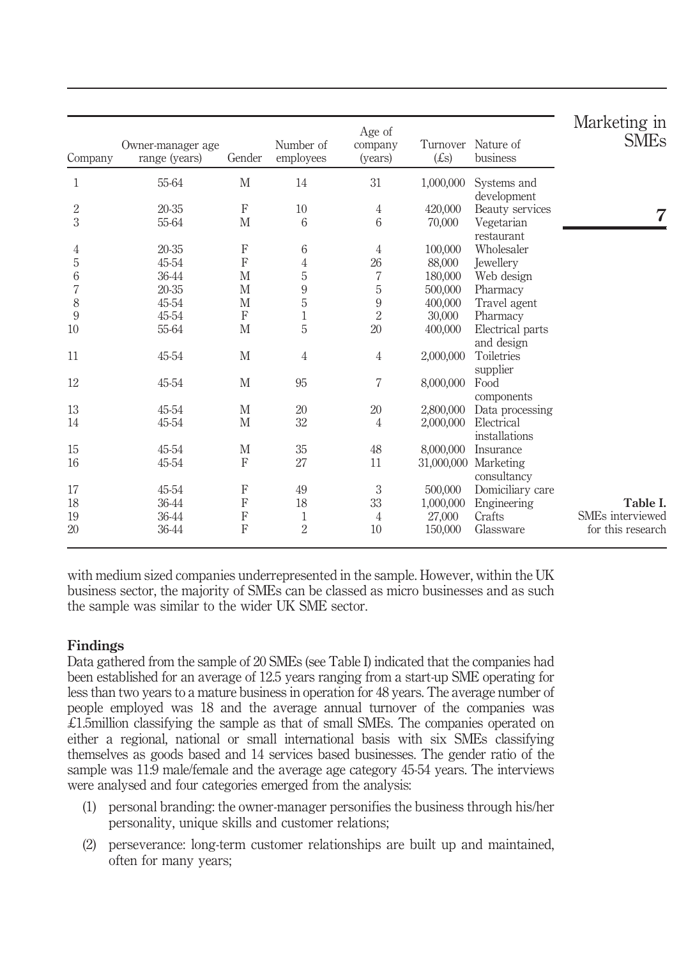| Company        | Owner-manager age<br>range (years) | Gender      | Number of<br>employees | Age of<br>company<br>(years) | Turnover<br>(E <sub>S</sub> ) | Nature of<br>business               | Marketing in<br><b>SME<sub>s</sub></b> |
|----------------|------------------------------------|-------------|------------------------|------------------------------|-------------------------------|-------------------------------------|----------------------------------------|
| 1              | 55-64                              | M           | 14                     | 31                           | 1,000,000                     | Systems and<br>development          |                                        |
| $\overline{2}$ | 20-35                              | $\mathbf F$ | 10                     | $\overline{4}$               | 420,000                       | Beauty services                     |                                        |
| 3              | 55-64                              | M           | $6\overline{6}$        | 6                            | 70,000                        | Vegetarian                          | 7                                      |
| 4              | 20-35                              | $\mathbf F$ | 6                      | $\overline{4}$               | 100,000                       | restaurant<br>Wholesaler            |                                        |
| 5              | 45-54                              | F           | 4                      | 26                           | 88,000                        | <b>Jewellery</b>                    |                                        |
| 6              | 36-44                              | M           | 5                      | 7                            | 180,000                       | Web design                          |                                        |
| 7              | 20-35                              | M           | 9                      | $\mathbf 5$                  | 500,000                       | Pharmacy                            |                                        |
| 8              | 45-54                              | M           | 5                      | $\boldsymbol{9}$             | 400,000                       | Travel agent                        |                                        |
| 9              | 45-54                              | F           | $\mathbf{1}$           | $\overline{2}$               | 30,000                        | Pharmacy                            |                                        |
| 10             | 55-64                              | M           | 5                      | 20                           | 400,000                       | Electrical parts<br>and design      |                                        |
| 11             | 45-54                              | M           | $\overline{4}$         | $\overline{4}$               | 2,000,000                     | Toiletries<br>supplier              |                                        |
| 12             | 45-54                              | M           | 95                     | 7                            | 8,000,000                     | Food                                |                                        |
|                |                                    |             |                        |                              |                               | components                          |                                        |
| 13             | 45-54                              | M           | 20                     | 20                           | 2,800,000                     | Data processing                     |                                        |
| 14             | 45-54                              | M           | 32                     | 4                            | 2,000,000                     | Electrical<br>installations         |                                        |
| 15             | 45-54                              | M           | 35                     | 48                           | 8,000,000                     | Insurance                           |                                        |
| 16             | 45-54                              | ${\bf F}$   | 27                     | 11                           |                               | 31,000,000 Marketing<br>consultancy |                                        |
| 17             | 45-54                              | F           | 49                     | $\sqrt{3}$                   | 500,000                       | Domiciliary care                    |                                        |
| 18             | 36-44                              | F           | 18                     | 33                           | 1,000,000                     | Engineering                         | Table I.                               |
| 19             | 36-44                              | F           | 1                      | 4                            | 27,000                        | Crafts                              | SME <sub>s</sub> interviewed           |
| 20             | 36-44                              | F           | $\overline{2}$         | 10                           | 150,000                       | Glassware                           | for this research                      |

with medium sized companies underrepresented in the sample. However, within the UK business sector, the majority of SMEs can be classed as micro businesses and as such the sample was similar to the wider UK SME sector.

# Findings

Data gathered from the sample of 20 SMEs (see Table I) indicated that the companies had been established for an average of 12.5 years ranging from a start-up SME operating for less than two years to a mature business in operation for 48 years. The average number of people employed was 18 and the average annual turnover of the companies was £1.5million classifying the sample as that of small SMEs. The companies operated on either a regional, national or small international basis with six SMEs classifying themselves as goods based and 14 services based businesses. The gender ratio of the sample was 11:9 male/female and the average age category 45-54 years. The interviews were analysed and four categories emerged from the analysis:

- (1) personal branding: the owner-manager personifies the business through his/her personality, unique skills and customer relations;
- (2) perseverance: long-term customer relationships are built up and maintained, often for many years;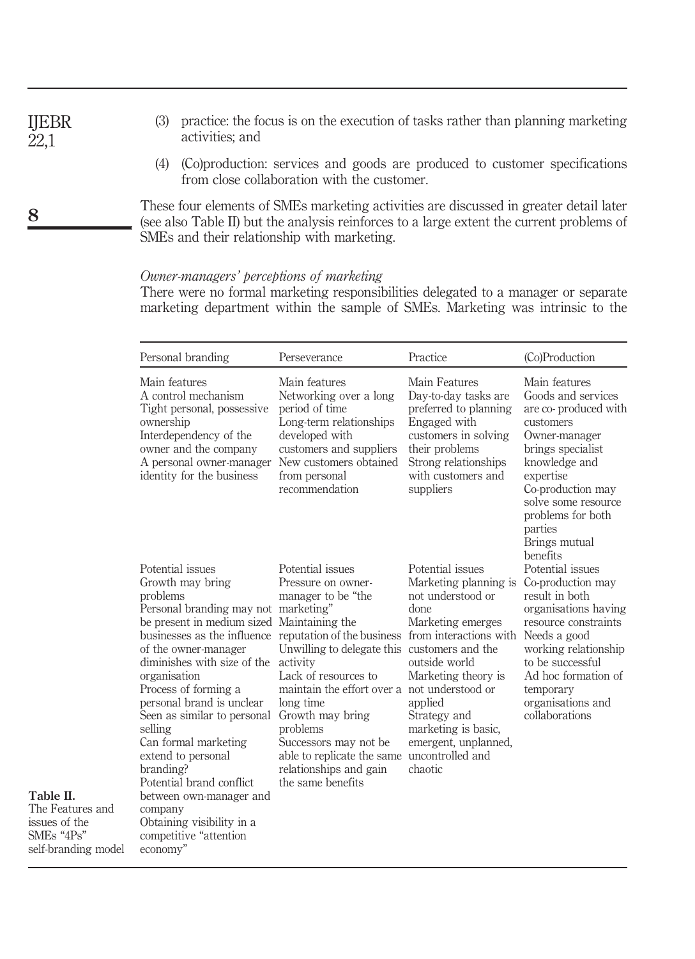- (3) practice: the focus is on the execution of tasks rather than planning marketing activities; and
	- (4) (Co)production: services and goods are produced to customer specifications from close collaboration with the customer.

These four elements of SMEs marketing activities are discussed in greater detail later (see also Table II) but the analysis reinforces to a large extent the current problems of SMEs and their relationship with marketing.

# Owner-managers' perceptions of marketing

There were no formal marketing responsibilities delegated to a manager or separate marketing department within the sample of SMEs. Marketing was intrinsic to the

| Personal branding                                                                                                                                                                                                                                                                                                                                                                                                                                                                                                                                                                             | Perseverance                                                                                                                                                                                                                                                                                                                                        | Practice                                                                                                                                                                                                                                     | (Co)Production                                                                                                                                                                                                                                        |
|-----------------------------------------------------------------------------------------------------------------------------------------------------------------------------------------------------------------------------------------------------------------------------------------------------------------------------------------------------------------------------------------------------------------------------------------------------------------------------------------------------------------------------------------------------------------------------------------------|-----------------------------------------------------------------------------------------------------------------------------------------------------------------------------------------------------------------------------------------------------------------------------------------------------------------------------------------------------|----------------------------------------------------------------------------------------------------------------------------------------------------------------------------------------------------------------------------------------------|-------------------------------------------------------------------------------------------------------------------------------------------------------------------------------------------------------------------------------------------------------|
| Main features<br>A control mechanism<br>Tight personal, possessive<br>ownership<br>Interdependency of the<br>owner and the company<br>A personal owner-manager<br>identity for the business                                                                                                                                                                                                                                                                                                                                                                                                   | Main features<br>Networking over a long<br>period of time<br>Long-term relationships<br>developed with<br>customers and suppliers<br>New customers obtained<br>from personal<br>recommendation                                                                                                                                                      | Main Features<br>Day-to-day tasks are<br>preferred to planning<br>Engaged with<br>customers in solving<br>their problems<br>Strong relationships<br>with customers and<br>suppliers                                                          | Main features<br>Goods and services<br>are co-produced with<br>customers<br>Owner-manager<br>brings specialist<br>knowledge and<br>expertise<br>Co-production may<br>solve some resource<br>problems for both<br>parties<br>Brings mutual<br>benefits |
| Potential issues<br>Growth may bring<br>problems<br>Personal branding may not marketing"<br>be present in medium sized Maintaining the<br>businesses as the influence reputation of the business from interactions with<br>of the owner-manager<br>diminishes with size of the<br>organisation<br>Process of forming a<br>personal brand is unclear<br>Seen as similar to personal<br>selling<br>Can formal marketing<br>extend to personal<br>branding?<br>Potential brand conflict<br>between own-manager and<br>company<br>Obtaining visibility in a<br>competitive "attention<br>economy" | Potential issues<br>Pressure on owner-<br>manager to be "the<br>Unwilling to delegate this customers and the<br>activity<br>Lack of resources to<br>maintain the effort over a not understood or<br>long time<br>Growth may bring<br>problems<br>Successors may not be<br>able to replicate the same<br>relationships and gain<br>the same benefits | Potential issues<br>Marketing planning is<br>not understood or<br>done<br>Marketing emerges<br>outside world<br>Marketing theory is<br>applied<br>Strategy and<br>marketing is basic,<br>emergent, unplanned,<br>uncontrolled and<br>chaotic | Potential issues<br>Co-production may<br>result in both<br>organisations having<br>resource constraints<br>Needs a good<br>working relationship<br>to be successful<br>Ad hoc formation of<br>temporary<br>organisations and<br>collaborations        |

IJEBR  $22,1$ 

8

Table II. The Features and issues of the SMEs "4Ps" self-branding model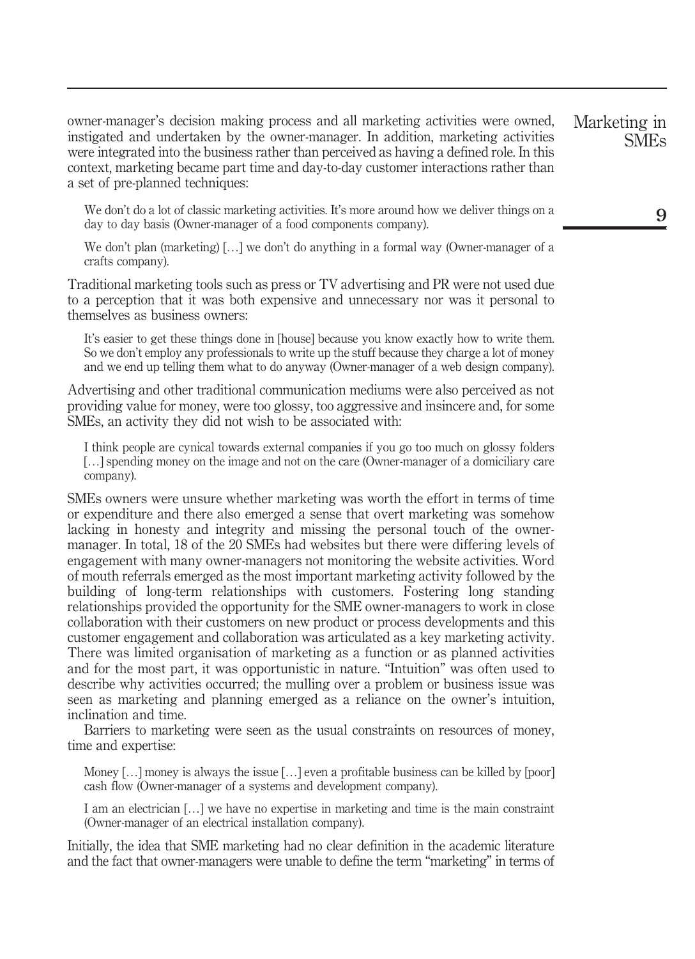owner-manager's decision making process and all marketing activities were owned, instigated and undertaken by the owner-manager. In addition, marketing activities were integrated into the business rather than perceived as having a defined role. In this context, marketing became part time and day-to-day customer interactions rather than a set of pre-planned techniques:

We don't do a lot of classic marketing activities. It's more around how we deliver things on a day to day basis (Owner-manager of a food components company).

We don't plan (marketing) [...] we don't do anything in a formal way (Owner-manager of a crafts company).

Traditional marketing tools such as press or TV advertising and PR were not used due to a perception that it was both expensive and unnecessary nor was it personal to themselves as business owners:

It's easier to get these things done in [house] because you know exactly how to write them. So we don't employ any professionals to write up the stuff because they charge a lot of money and we end up telling them what to do anyway (Owner-manager of a web design company).

Advertising and other traditional communication mediums were also perceived as not providing value for money, were too glossy, too aggressive and insincere and, for some SMEs, an activity they did not wish to be associated with:

I think people are cynical towards external companies if you go too much on glossy folders […] spending money on the image and not on the care (Owner-manager of a domiciliary care company).

SMEs owners were unsure whether marketing was worth the effort in terms of time or expenditure and there also emerged a sense that overt marketing was somehow lacking in honesty and integrity and missing the personal touch of the ownermanager. In total, 18 of the 20 SMEs had websites but there were differing levels of engagement with many owner-managers not monitoring the website activities. Word of mouth referrals emerged as the most important marketing activity followed by the building of long-term relationships with customers. Fostering long standing relationships provided the opportunity for the SME owner-managers to work in close collaboration with their customers on new product or process developments and this customer engagement and collaboration was articulated as a key marketing activity. There was limited organisation of marketing as a function or as planned activities and for the most part, it was opportunistic in nature. "Intuition" was often used to describe why activities occurred; the mulling over a problem or business issue was seen as marketing and planning emerged as a reliance on the owner's intuition, inclination and time.

Barriers to marketing were seen as the usual constraints on resources of money, time and expertise:

Money [...] money is always the issue [...] even a profitable business can be killed by [poor] cash flow (Owner-manager of a systems and development company).

I am an electrician […] we have no expertise in marketing and time is the main constraint (Owner-manager of an electrical installation company).

Initially, the idea that SME marketing had no clear definition in the academic literature and the fact that owner-managers were unable to define the term "marketing" in terms of

Marketing in SMEs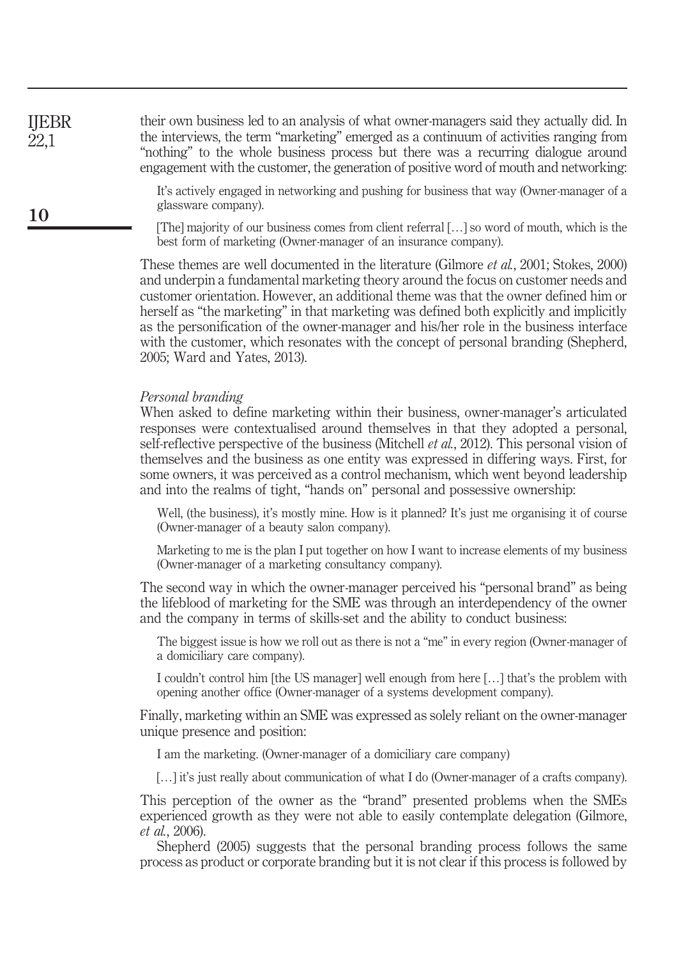their own business led to an analysis of what owner-managers said they actually did. In the interviews, the term "marketing" emerged as a continuum of activities ranging from "nothing" to the whole business process but there was a recurring dialogue around engagement with the customer, the generation of positive word of mouth and networking: IJEBR

> It's actively engaged in networking and pushing for business that way (Owner-manager of a glassware company).

> [The] majority of our business comes from client referral […] so word of mouth, which is the best form of marketing (Owner-manager of an insurance company).

These themes are well documented in the literature (Gilmore et al., 2001; Stokes, 2000) and underpin a fundamental marketing theory around the focus on customer needs and customer orientation. However, an additional theme was that the owner defined him or herself as "the marketing" in that marketing was defined both explicitly and implicitly as the personification of the owner-manager and his/her role in the business interface with the customer, which resonates with the concept of personal branding (Shepherd, 2005; Ward and Yates, 2013).

#### Personal branding

When asked to define marketing within their business, owner-manager's articulated responses were contextualised around themselves in that they adopted a personal, self-reflective perspective of the business (Mitchell *et al.*, 2012). This personal vision of themselves and the business as one entity was expressed in differing ways. First, for some owners, it was perceived as a control mechanism, which went beyond leadership and into the realms of tight, "hands on" personal and possessive ownership:

Well, (the business), it's mostly mine. How is it planned? It's just me organising it of course (Owner-manager of a beauty salon company).

Marketing to me is the plan I put together on how I want to increase elements of my business (Owner-manager of a marketing consultancy company).

The second way in which the owner-manager perceived his "personal brand" as being the lifeblood of marketing for the SME was through an interdependency of the owner and the company in terms of skills-set and the ability to conduct business:

The biggest issue is how we roll out as there is not a "me" in every region (Owner-manager of a domiciliary care company).

I couldn't control him [the US manager] well enough from here […] that's the problem with opening another office (Owner-manager of a systems development company).

Finally, marketing within an SME was expressed as solely reliant on the owner-manager unique presence and position:

I am the marketing. (Owner-manager of a domiciliary care company)

[...] it's just really about communication of what I do (Owner-manager of a crafts company).

This perception of the owner as the "brand" presented problems when the SMEs experienced growth as they were not able to easily contemplate delegation (Gilmore, et al., 2006).

Shepherd (2005) suggests that the personal branding process follows the same process as product or corporate branding but it is not clear if this process is followed by

22,1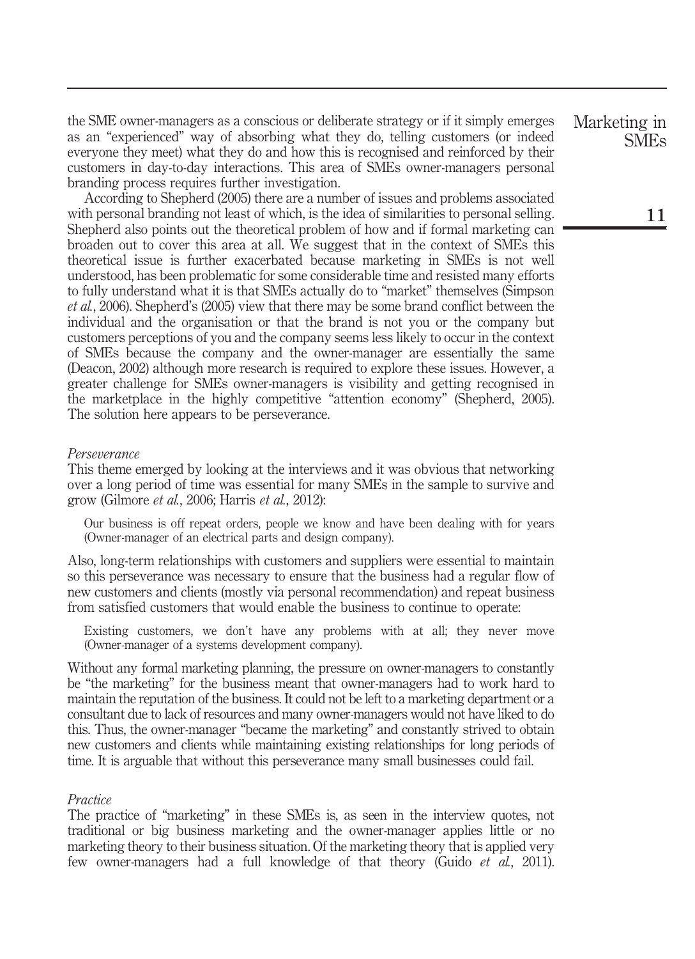the SME owner-managers as a conscious or deliberate strategy or if it simply emerges as an "experienced" way of absorbing what they do, telling customers (or indeed everyone they meet) what they do and how this is recognised and reinforced by their customers in day-to-day interactions. This area of SMEs owner-managers personal branding process requires further investigation.

According to Shepherd (2005) there are a number of issues and problems associated with personal branding not least of which, is the idea of similarities to personal selling. Shepherd also points out the theoretical problem of how and if formal marketing can broaden out to cover this area at all. We suggest that in the context of SMEs this theoretical issue is further exacerbated because marketing in SMEs is not well understood, has been problematic for some considerable time and resisted many efforts to fully understand what it is that SMEs actually do to "market" themselves (Simpson et al., 2006). Shepherd's (2005) view that there may be some brand conflict between the individual and the organisation or that the brand is not you or the company but customers perceptions of you and the company seems less likely to occur in the context of SMEs because the company and the owner-manager are essentially the same (Deacon, 2002) although more research is required to explore these issues. However, a greater challenge for SMEs owner-managers is visibility and getting recognised in the marketplace in the highly competitive "attention economy" (Shepherd, 2005). The solution here appears to be perseverance.

### Perseverance

This theme emerged by looking at the interviews and it was obvious that networking over a long period of time was essential for many SMEs in the sample to survive and grow (Gilmore et al., 2006; Harris et al., 2012):

Our business is off repeat orders, people we know and have been dealing with for years (Owner-manager of an electrical parts and design company).

Also, long-term relationships with customers and suppliers were essential to maintain so this perseverance was necessary to ensure that the business had a regular flow of new customers and clients (mostly via personal recommendation) and repeat business from satisfied customers that would enable the business to continue to operate:

Existing customers, we don't have any problems with at all; they never move (Owner-manager of a systems development company).

Without any formal marketing planning, the pressure on owner-managers to constantly be "the marketing" for the business meant that owner-managers had to work hard to maintain the reputation of the business. It could not be left to a marketing department or a consultant due to lack of resources and many owner-managers would not have liked to do this. Thus, the owner-manager "became the marketing" and constantly strived to obtain new customers and clients while maintaining existing relationships for long periods of time. It is arguable that without this perseverance many small businesses could fail.

#### **Practice**

The practice of "marketing" in these SMEs is, as seen in the interview quotes, not traditional or big business marketing and the owner-manager applies little or no marketing theory to their business situation. Of the marketing theory that is applied very few owner-managers had a full knowledge of that theory (Guido et al., 2011).

Marketing in SMEs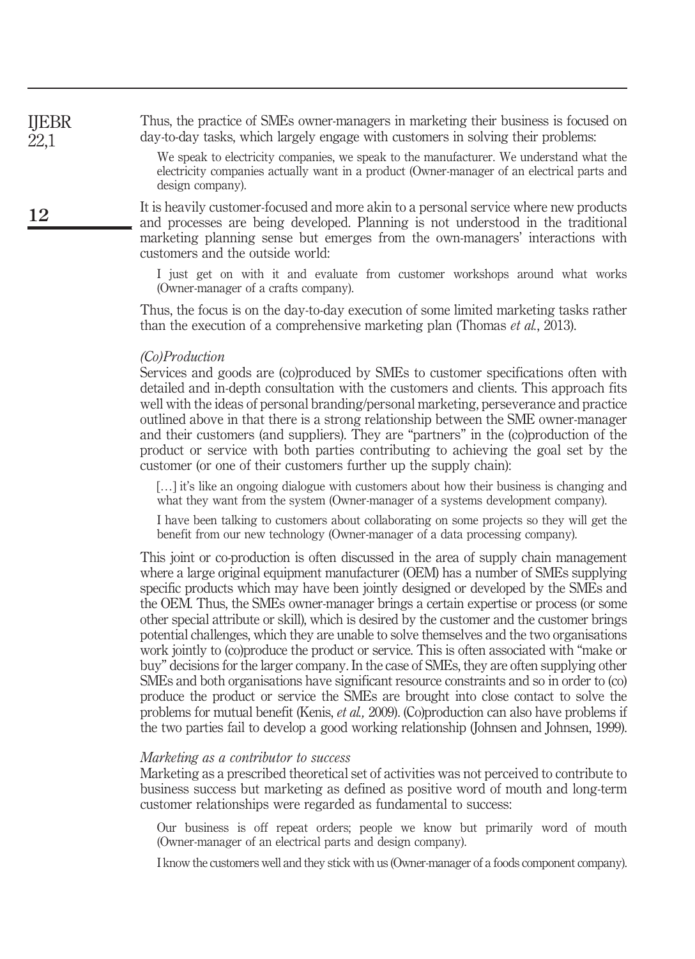Thus, the practice of SMEs owner-managers in marketing their business is focused on day-to-day tasks, which largely engage with customers in solving their problems:

> We speak to electricity companies, we speak to the manufacturer. We understand what the electricity companies actually want in a product (Owner-manager of an electrical parts and design company).

It is heavily customer-focused and more akin to a personal service where new products and processes are being developed. Planning is not understood in the traditional marketing planning sense but emerges from the own-managers' interactions with customers and the outside world:

I just get on with it and evaluate from customer workshops around what works (Owner-manager of a crafts company).

Thus, the focus is on the day-to-day execution of some limited marketing tasks rather than the execution of a comprehensive marketing plan (Thomas *et al.*, 2013).

# (Co)Production

Services and goods are (co)produced by SMEs to customer specifications often with detailed and in-depth consultation with the customers and clients. This approach fits well with the ideas of personal branding/personal marketing, perseverance and practice outlined above in that there is a strong relationship between the SME owner-manager and their customers (and suppliers). They are "partners" in the (co)production of the product or service with both parties contributing to achieving the goal set by the customer (or one of their customers further up the supply chain):

[...] it's like an ongoing dialogue with customers about how their business is changing and what they want from the system (Owner-manager of a systems development company).

I have been talking to customers about collaborating on some projects so they will get the benefit from our new technology (Owner-manager of a data processing company).

This joint or co-production is often discussed in the area of supply chain management where a large original equipment manufacturer (OEM) has a number of SMEs supplying specific products which may have been jointly designed or developed by the SMEs and the OEM. Thus, the SMEs owner-manager brings a certain expertise or process (or some other special attribute or skill), which is desired by the customer and the customer brings potential challenges, which they are unable to solve themselves and the two organisations work jointly to (co)produce the product or service. This is often associated with "make or buy" decisions for the larger company. In the case of SMEs, they are often supplying other SMEs and both organisations have significant resource constraints and so in order to (co) produce the product or service the SMEs are brought into close contact to solve the problems for mutual benefit (Kenis, et al., 2009). (Co)production can also have problems if the two parties fail to develop a good working relationship (Johnsen and Johnsen, 1999).

#### Marketing as a contributor to success

Marketing as a prescribed theoretical set of activities was not perceived to contribute to business success but marketing as defined as positive word of mouth and long-term customer relationships were regarded as fundamental to success:

Our business is off repeat orders; people we know but primarily word of mouth (Owner-manager of an electrical parts and design company).

I know the customers well and they stick with us (Owner-manager of a foods component company).

12

IJEBR 22,1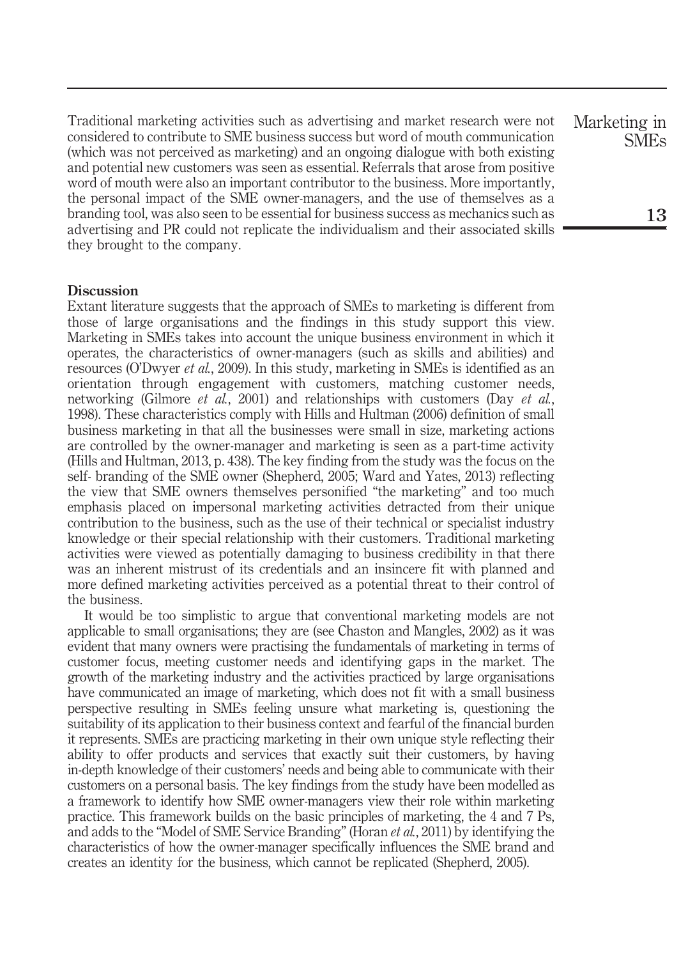Traditional marketing activities such as advertising and market research were not considered to contribute to SME business success but word of mouth communication (which was not perceived as marketing) and an ongoing dialogue with both existing and potential new customers was seen as essential. Referrals that arose from positive word of mouth were also an important contributor to the business. More importantly, the personal impact of the SME owner-managers, and the use of themselves as a branding tool, was also seen to be essential for business success as mechanics such as advertising and PR could not replicate the individualism and their associated skills they brought to the company.

## **Discussion**

Extant literature suggests that the approach of SMEs to marketing is different from those of large organisations and the findings in this study support this view. Marketing in SMEs takes into account the unique business environment in which it operates, the characteristics of owner-managers (such as skills and abilities) and resources (O'Dwyer *et al.*, 2009). In this study, marketing in SMEs is identified as an orientation through engagement with customers, matching customer needs, networking (Gilmore *et al.*, 2001) and relationships with customers (Day *et al.*, 1998). These characteristics comply with Hills and Hultman (2006) definition of small business marketing in that all the businesses were small in size, marketing actions are controlled by the owner-manager and marketing is seen as a part-time activity (Hills and Hultman, 2013, p. 438). The key finding from the study was the focus on the self- branding of the SME owner (Shepherd, 2005; Ward and Yates, 2013) reflecting the view that SME owners themselves personified "the marketing" and too much emphasis placed on impersonal marketing activities detracted from their unique contribution to the business, such as the use of their technical or specialist industry knowledge or their special relationship with their customers. Traditional marketing activities were viewed as potentially damaging to business credibility in that there was an inherent mistrust of its credentials and an insincere fit with planned and more defined marketing activities perceived as a potential threat to their control of the business.

It would be too simplistic to argue that conventional marketing models are not applicable to small organisations; they are (see Chaston and Mangles, 2002) as it was evident that many owners were practising the fundamentals of marketing in terms of customer focus, meeting customer needs and identifying gaps in the market. The growth of the marketing industry and the activities practiced by large organisations have communicated an image of marketing, which does not fit with a small business perspective resulting in SMEs feeling unsure what marketing is, questioning the suitability of its application to their business context and fearful of the financial burden it represents. SMEs are practicing marketing in their own unique style reflecting their ability to offer products and services that exactly suit their customers, by having in-depth knowledge of their customers' needs and being able to communicate with their customers on a personal basis. The key findings from the study have been modelled as a framework to identify how SME owner-managers view their role within marketing practice. This framework builds on the basic principles of marketing, the 4 and 7 Ps, and adds to the "Model of SME Service Branding" (Horan *et al.*, 2011) by identifying the characteristics of how the owner-manager specifically influences the SME brand and creates an identity for the business, which cannot be replicated (Shepherd, 2005).

Marketing in SMEs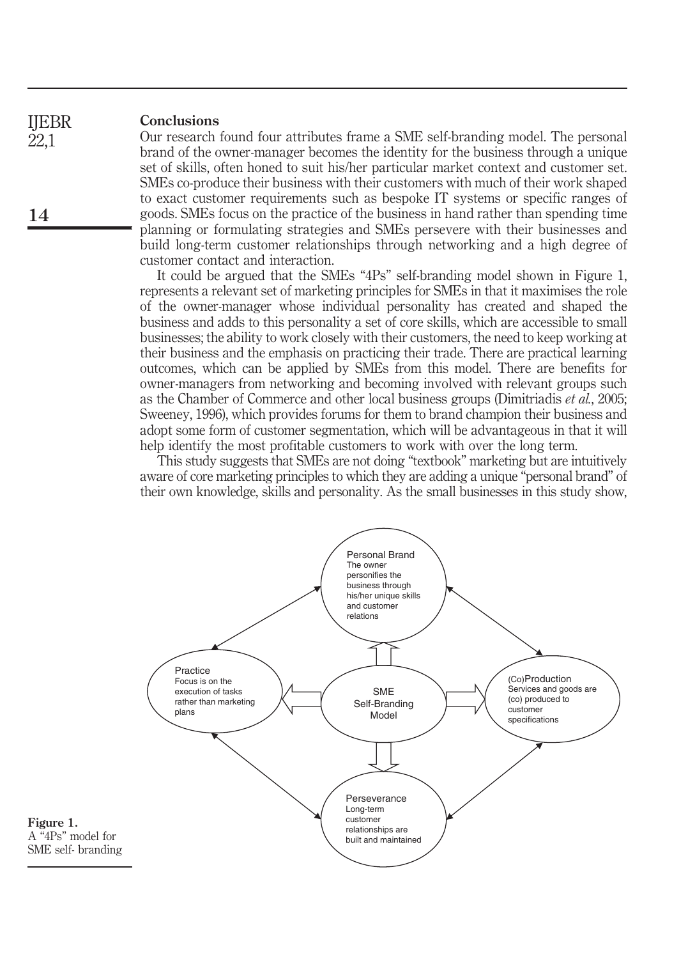#### Conclusions IJEBR

14

22,1

Our research found four attributes frame a SME self-branding model. The personal brand of the owner-manager becomes the identity for the business through a unique set of skills, often honed to suit his/her particular market context and customer set. SMEs co-produce their business with their customers with much of their work shaped to exact customer requirements such as bespoke IT systems or specific ranges of goods. SMEs focus on the practice of the business in hand rather than spending time planning or formulating strategies and SMEs persevere with their businesses and build long-term customer relationships through networking and a high degree of customer contact and interaction.

It could be argued that the SMEs "4Ps" self-branding model shown in Figure 1, represents a relevant set of marketing principles for SMEs in that it maximises the role of the owner-manager whose individual personality has created and shaped the business and adds to this personality a set of core skills, which are accessible to small businesses; the ability to work closely with their customers, the need to keep working at their business and the emphasis on practicing their trade. There are practical learning outcomes, which can be applied by SMEs from this model. There are benefits for owner-managers from networking and becoming involved with relevant groups such as the Chamber of Commerce and other local business groups (Dimitriadis et al., 2005; Sweeney, 1996), which provides forums for them to brand champion their business and adopt some form of customer segmentation, which will be advantageous in that it will help identify the most profitable customers to work with over the long term.

This study suggests that SMEs are not doing "textbook" marketing but are intuitively aware of core marketing principles to which they are adding a unique "personal brand" of their own knowledge, skills and personality. As the small businesses in this study show,



Figure 1. A "4Ps" model for SME self- branding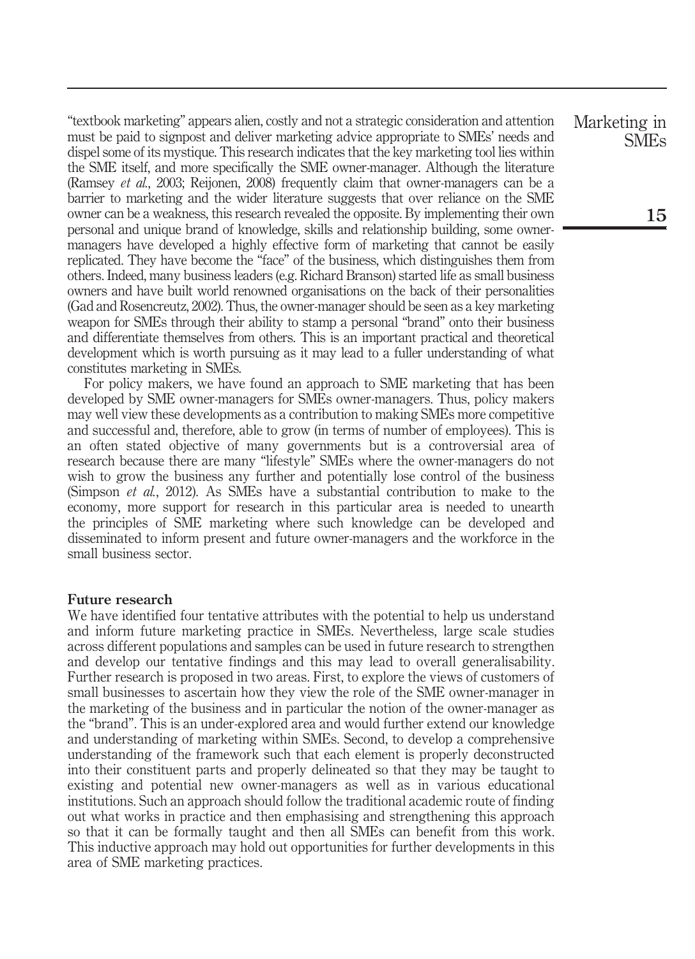"textbook marketing" appears alien, costly and not a strategic consideration and attention must be paid to signpost and deliver marketing advice appropriate to SMEs' needs and dispel some of its mystique. This research indicates that the key marketing tool lies within the SME itself, and more specifically the SME owner-manager. Although the literature (Ramsey et al., 2003; Reijonen, 2008) frequently claim that owner-managers can be a barrier to marketing and the wider literature suggests that over reliance on the SME owner can be a weakness, this research revealed the opposite. By implementing their own personal and unique brand of knowledge, skills and relationship building, some ownermanagers have developed a highly effective form of marketing that cannot be easily replicated. They have become the "face" of the business, which distinguishes them from others. Indeed, many business leaders (e.g. Richard Branson) started life as small business owners and have built world renowned organisations on the back of their personalities (Gad and Rosencreutz, 2002). Thus, the owner-manager should be seen as a key marketing weapon for SMEs through their ability to stamp a personal "brand" onto their business and differentiate themselves from others. This is an important practical and theoretical development which is worth pursuing as it may lead to a fuller understanding of what constitutes marketing in SMEs.

For policy makers, we have found an approach to SME marketing that has been developed by SME owner-managers for SMEs owner-managers. Thus, policy makers may well view these developments as a contribution to making SMEs more competitive and successful and, therefore, able to grow (in terms of number of employees). This is an often stated objective of many governments but is a controversial area of research because there are many "lifestyle" SMEs where the owner-managers do not wish to grow the business any further and potentially lose control of the business (Simpson et al., 2012). As SMEs have a substantial contribution to make to the economy, more support for research in this particular area is needed to unearth the principles of SME marketing where such knowledge can be developed and disseminated to inform present and future owner-managers and the workforce in the small business sector.

# Future research

We have identified four tentative attributes with the potential to help us understand and inform future marketing practice in SMEs. Nevertheless, large scale studies across different populations and samples can be used in future research to strengthen and develop our tentative findings and this may lead to overall generalisability. Further research is proposed in two areas. First, to explore the views of customers of small businesses to ascertain how they view the role of the SME owner-manager in the marketing of the business and in particular the notion of the owner-manager as the "brand". This is an under-explored area and would further extend our knowledge and understanding of marketing within SMEs. Second, to develop a comprehensive understanding of the framework such that each element is properly deconstructed into their constituent parts and properly delineated so that they may be taught to existing and potential new owner-managers as well as in various educational institutions. Such an approach should follow the traditional academic route of finding out what works in practice and then emphasising and strengthening this approach so that it can be formally taught and then all SMEs can benefit from this work. This inductive approach may hold out opportunities for further developments in this area of SME marketing practices.

Marketing in SMEs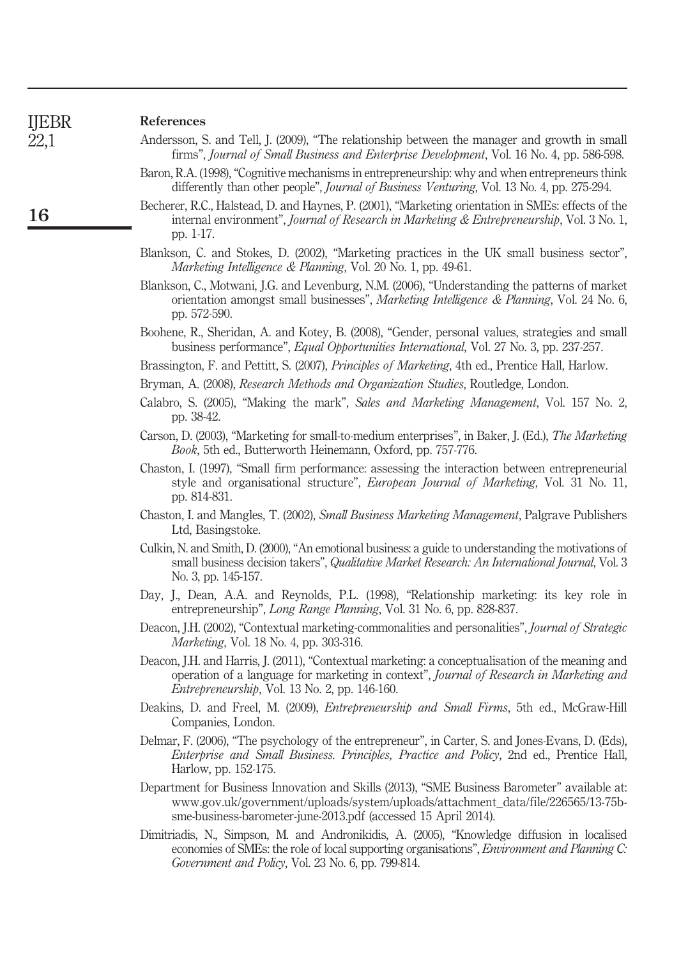# 22,1

16

# References

- Andersson, S. and Tell, J. (2009), "The relationship between the manager and growth in small firms", Journal of Small Business and Enterprise Development, Vol. 16 No. 4, pp. 586-598.
	- Baron, R.A. (1998), "Cognitive mechanisms in entrepreneurship: why and when entrepreneurs think differently than other people", Journal of Business Venturing, Vol. 13 No. 4, pp. 275-294.
- Becherer, R.C., Halstead, D. and Haynes, P. (2001), "Marketing orientation in SMEs: effects of the internal environment", Journal of Research in Marketing & Entrepreneurship, Vol. 3 No. 1, pp. 1-17.
- Blankson, C. and Stokes, D. (2002), "Marketing practices in the UK small business sector", Marketing Intelligence & Planning, Vol. 20 No. 1, pp. 49-61.
- Blankson, C., Motwani, J.G. and Levenburg, N.M. (2006), "Understanding the patterns of market orientation amongst small businesses", Marketing Intelligence & Planning, Vol. 24 No. 6, pp. 572-590.
- Boohene, R., Sheridan, A. and Kotey, B. (2008), "Gender, personal values, strategies and small business performance", Equal Opportunities International, Vol. 27 No. 3, pp. 237-257.
- Brassington, F. and Pettitt, S. (2007), *Principles of Marketing*, 4th ed., Prentice Hall, Harlow.
- Bryman, A. (2008), Research Methods and Organization Studies, Routledge, London.
- Calabro, S. (2005), "Making the mark", Sales and Marketing Management, Vol. 157 No. 2, pp. 38-42.
- Carson, D. (2003), "Marketing for small-to-medium enterprises", in Baker, J. (Ed.), The Marketing Book, 5th ed., Butterworth Heinemann, Oxford, pp. 757-776.
- Chaston, I. (1997), "Small firm performance: assessing the interaction between entrepreneurial style and organisational structure", European Journal of Marketing, Vol. 31 No. 11, pp. 814-831.
- Chaston, I. and Mangles, T. (2002), Small Business Marketing Management, Palgrave Publishers Ltd, Basingstoke.
- Culkin, N. and Smith, D. (2000), "An emotional business: a guide to understanding the motivations of small business decision takers". Qualitative Market Research: An International Journal, Vol. 3 No. 3, pp. 145-157.
- Day, J., Dean, A.A. and Reynolds, P.L. (1998), "Relationship marketing: its key role in entrepreneurship", Long Range Planning, Vol. 31 No. 6, pp. 828-837.
- Deacon, J.H. (2002), "Contextual marketing-commonalities and personalities", *Journal of Strategic* Marketing, Vol. 18 No. 4, pp. 303-316.
- Deacon, J.H. and Harris, J. (2011), "Contextual marketing: a conceptualisation of the meaning and operation of a language for marketing in context", Journal of Research in Marketing and Entrepreneurship, Vol. 13 No. 2, pp. 146-160.
- Deakins, D. and Freel, M. (2009), *Entrepreneurship and Small Firms*, 5th ed., McGraw-Hill Companies, London.
- Delmar, F. (2006), "The psychology of the entrepreneur", in Carter, S. and Jones-Evans, D. (Eds), Enterprise and Small Business. Principles, Practice and Policy, 2nd ed., Prentice Hall, Harlow, pp. 152-175.
- Department for Business Innovation and Skills (2013), "SME Business Barometer" available at: www.gov.uk/government/uploads/system/uploads/attachment\_data/file/226565/13-75bsme-business-barometer-june-2013.pdf (accessed 15 April 2014).
- Dimitriadis, N., Simpson, M. and Andronikidis, A. (2005), "Knowledge diffusion in localised economies of SMEs: the role of local supporting organisations", Environment and Planning C: Government and Policy, Vol. 23 No. 6, pp. 799-814.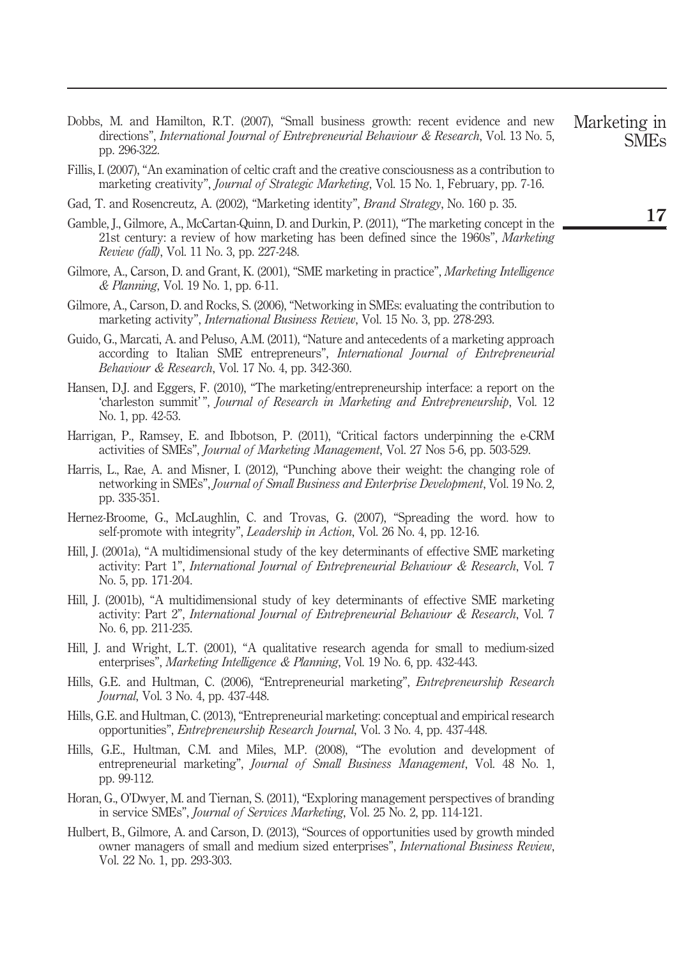- Dobbs, M. and Hamilton, R.T. (2007), "Small business growth: recent evidence and new directions", International Journal of Entrepreneurial Behaviour & Research, Vol. 13 No. 5, pp. 296-322. Marketing in
- Fillis, I. (2007), "An examination of celtic craft and the creative consciousness as a contribution to marketing creativity", Journal of Strategic Marketing, Vol. 15 No. 1, February, pp. 7-16.
- Gad, T. and Rosencreutz, A. (2002), "Marketing identity", Brand Strategy, No. 160 p. 35.
- Gamble, J., Gilmore, A., McCartan-Quinn, D. and Durkin, P. (2011), "The marketing concept in the 21st century: a review of how marketing has been defined since the 1960s", Marketing Review (fall), Vol. 11 No. 3, pp. 227-248.
- Gilmore, A., Carson, D. and Grant, K. (2001), "SME marketing in practice", Marketing Intelligence & Planning, Vol. 19 No. 1, pp. 6-11.
- Gilmore, A., Carson, D. and Rocks, S. (2006), "Networking in SMEs: evaluating the contribution to marketing activity", International Business Review, Vol. 15 No. 3, pp. 278-293.
- Guido, G., Marcati, A. and Peluso, A.M. (2011), "Nature and antecedents of a marketing approach according to Italian SME entrepreneurs", International Journal of Entrepreneurial Behaviour & Research, Vol. 17 No. 4, pp. 342-360.
- Hansen, D.J. and Eggers, F. (2010), "The marketing/entrepreneurship interface: a report on the 'charleston summit' ", Journal of Research in Marketing and Entrepreneurship, Vol. 12 No. 1, pp. 42-53.
- Harrigan, P., Ramsey, E. and Ibbotson, P. (2011), "Critical factors underpinning the e-CRM activities of SMEs", Journal of Marketing Management, Vol. 27 Nos 5-6, pp. 503-529.
- Harris, L., Rae, A. and Misner, I. (2012), "Punching above their weight: the changing role of networking in SMEs", Journal of Small Business and Enterprise Development, Vol. 19 No. 2, pp. 335-351.
- Hernez-Broome, G., McLaughlin, C. and Trovas, G. (2007), "Spreading the word. how to self-promote with integrity", Leadership in Action, Vol. 26 No. 4, pp. 12-16.
- Hill, J. (2001a), "A multidimensional study of the key determinants of effective SME marketing activity: Part 1", International Journal of Entrepreneurial Behaviour & Research, Vol. 7 No. 5, pp. 171-204.
- Hill, J. (2001b), "A multidimensional study of key determinants of effective SME marketing activity: Part 2", International Journal of Entrepreneurial Behaviour & Research, Vol. 7 No. 6, pp. 211-235.
- Hill, J. and Wright, L.T. (2001), "A qualitative research agenda for small to medium-sized enterprises", Marketing Intelligence & Planning, Vol. 19 No. 6, pp. 432-443.
- Hills, G.E. and Hultman, C. (2006), "Entrepreneurial marketing", Entrepreneurship Research Journal, Vol. 3 No. 4, pp. 437-448.
- Hills, G.E. and Hultman, C. (2013), "Entrepreneurial marketing: conceptual and empirical research opportunities", Entrepreneurship Research Journal, Vol. 3 No. 4, pp. 437-448.
- Hills, G.E., Hultman, C.M. and Miles, M.P. (2008), "The evolution and development of entrepreneurial marketing", *Journal of Small Business Management*, Vol. 48 No. 1, pp. 99-112.
- Horan, G., O'Dwyer, M. and Tiernan, S. (2011), "Exploring management perspectives of branding in service SMEs", Journal of Services Marketing, Vol. 25 No. 2, pp. 114-121.
- Hulbert, B., Gilmore, A. and Carson, D. (2013), "Sources of opportunities used by growth minded owner managers of small and medium sized enterprises", International Business Review, Vol. 22 No. 1, pp. 293-303.

SMEs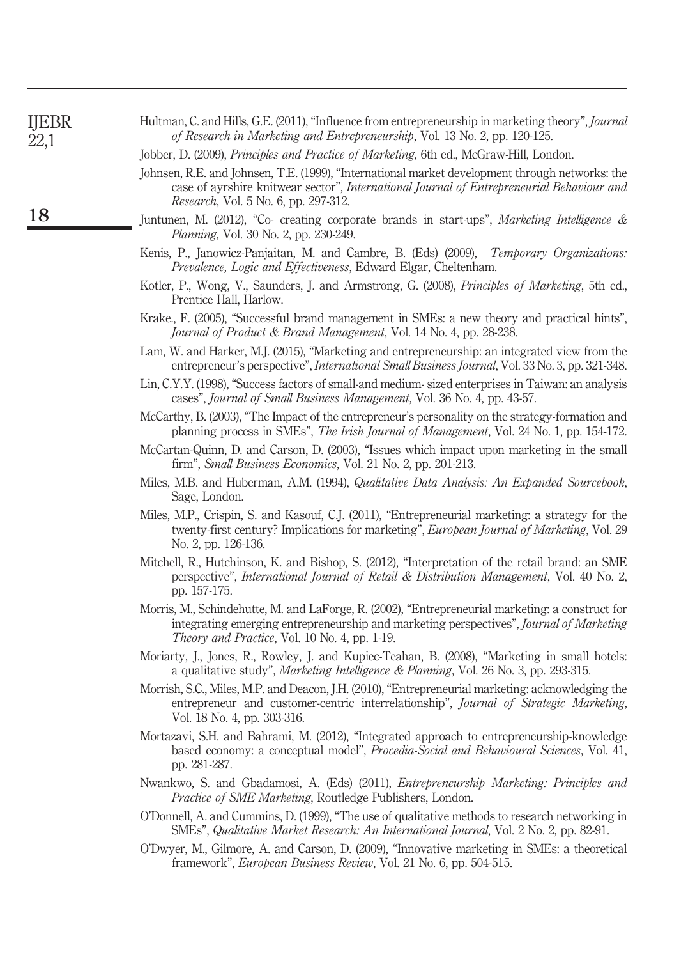| <b>IJEBR</b><br>22,1 | Hultman, C. and Hills, G.E. (2011), "Influence from entrepreneurship in marketing theory", <i>Journal</i><br>of Research in Marketing and Entrepreneurship, Vol. 13 No. 2, pp. 120-125.                                                      |
|----------------------|----------------------------------------------------------------------------------------------------------------------------------------------------------------------------------------------------------------------------------------------|
|                      | Jobber, D. (2009), Principles and Practice of Marketing, 6th ed., McGraw-Hill, London.                                                                                                                                                       |
|                      | Johnsen, R.E. and Johnsen, T.E. (1999), "International market development through networks: the<br>case of ayrshire knitwear sector", International Journal of Entrepreneurial Behaviour and<br><i>Research</i> , Vol. 5 No. 6, pp. 297-312. |
| 18                   | Juntunen, M. (2012), "Co- creating corporate brands in start-ups", Marketing Intelligence &<br><i>Planning</i> , Vol. 30 No. 2, pp. 230-249.                                                                                                 |
|                      | Kenis, P., Janowicz-Panjaitan, M. and Cambre, B. (Eds) (2009), <i>Temporary Organizations:</i><br>Prevalence, Logic and Effectiveness, Edward Elgar, Cheltenham.                                                                             |
|                      | Kotler, P., Wong, V., Saunders, J. and Armstrong, G. (2008), Principles of Marketing, 5th ed.,<br>Prentice Hall, Harlow.                                                                                                                     |
|                      | Krake., F. (2005), "Successful brand management in SMEs: a new theory and practical hints",<br>Journal of Product & Brand Management, Vol. 14 No. 4, pp. 28-238.                                                                             |
|                      | Lam, W. and Harker, M.J. (2015), "Marketing and entrepreneurship: an integrated view from the<br>entrepreneur's perspective", <i>International Small Business Journal</i> , Vol. 33 No. 3, pp. 321-348.                                      |
|                      | Lin, C.Y.Y. (1998), "Success factors of small-and medium- sized enterprises in Taiwan: an analysis<br>cases", Journal of Small Business Management, Vol. 36 No. 4, pp. 43-57.                                                                |
|                      | McCarthy, B. (2003), "The Impact of the entrepreneur's personality on the strategy-formation and<br>planning process in SMEs", The Irish Journal of Management, Vol. 24 No. 1, pp. 154-172.                                                  |
|                      | McCartan-Quinn, D. and Carson, D. (2003), "Issues which impact upon marketing in the small<br>firm", Small Business Economics, Vol. 21 No. 2, pp. 201-213.                                                                                   |
|                      | Miles, M.B. and Huberman, A.M. (1994), Qualitative Data Analysis: An Expanded Sourcebook,<br>Sage, London.                                                                                                                                   |
|                      | Miles, M.P., Crispin, S. and Kasouf, C.J. (2011), "Entrepreneurial marketing: a strategy for the<br>twenty-first century? Implications for marketing", European Journal of Marketing, Vol. 29<br>No. 2, pp. 126-136.                         |
|                      | Mitchell, R., Hutchinson, K. and Bishop, S. (2012), "Interpretation of the retail brand: an SME<br>perspective", International Journal of Retail & Distribution Management, Vol. 40 No. 2,<br>pp. 157-175.                                   |
|                      | Morris, M., Schindehutte, M. and LaForge, R. (2002), "Entrepreneurial marketing: a construct for<br>integrating emerging entrepreneurship and marketing perspectives", Journal of Marketing<br>Theory and Practice, Vol. 10 No. 4, pp. 1-19. |
|                      | Moriarty, J., Jones, R., Rowley, J. and Kupiec-Teahan, B. (2008), "Marketing in small hotels:<br>a qualitative study", Marketing Intelligence & Planning, Vol. 26 No. 3, pp. 293-315.                                                        |
|                      | Morrish, S.C., Miles, M.P. and Deacon, J.H. (2010), "Entrepreneurial marketing: acknowledging the<br>entrepreneur and customer-centric interrelationship", Journal of Strategic Marketing,<br>Vol. 18 No. 4, pp. 303-316.                    |
|                      | Mortazavi, S.H. and Bahrami, M. (2012), "Integrated approach to entrepreneurship-knowledge<br>based economy: a conceptual model", Procedia-Social and Behavioural Sciences, Vol. 41,<br>pp. 281-287.                                         |
|                      | Nwankwo, S. and Gbadamosi, A. (Eds) (2011), <i>Entrepreneurship Marketing: Principles and</i><br>Practice of SME Marketing, Routledge Publishers, London.                                                                                    |
|                      | O'Donnell, A. and Cummins, D. (1999), "The use of qualitative methods to research networking in<br>SMEs", Qualitative Market Research: An International Journal, Vol. 2 No. 2, pp. 82-91.                                                    |
|                      | O'Dwyer, M., Gilmore, A. and Carson, D. (2009), "Innovative marketing in SMEs: a theoretical<br>framework", European Business Review, Vol. 21 No. 6, pp. 504-515.                                                                            |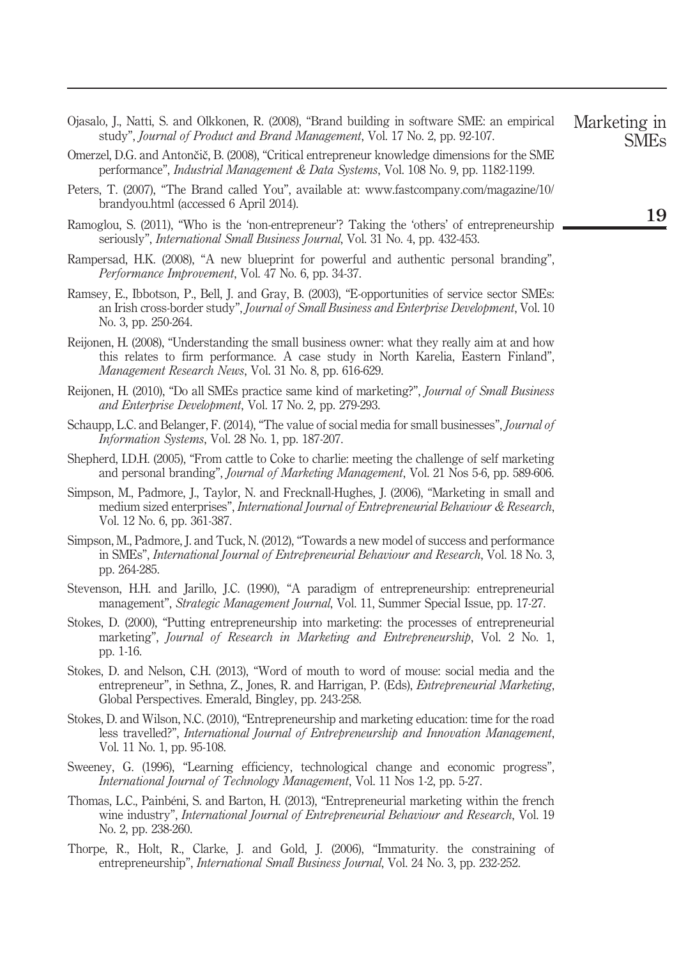- Ojasalo, J., Natti, S. and Olkkonen, R. (2008), "Brand building in software SME: an empirical study", Journal of Product and Brand Management, Vol. 17 No. 2, pp. 92-107.
- Omerzel, D.G. and Antončič, B. (2008), "Critical entrepreneur knowledge dimensions for the SME performance", Industrial Management & Data Systems, Vol. 108 No. 9, pp. 1182-1199.
- Peters, T. (2007), "The Brand called You", available at: www.fastcompany.com/magazine/10/ brandyou.html (accessed 6 April 2014).
- Ramoglou, S. (2011), "Who is the 'non-entrepreneur'? Taking the 'others' of entrepreneurship seriously", *International Small Business Journal*, Vol. 31 No. 4, pp. 432-453.
- Rampersad, H.K. (2008), "A new blueprint for powerful and authentic personal branding", Performance Improvement, Vol. 47 No. 6, pp. 34-37.
- Ramsey, E., Ibbotson, P., Bell, J. and Gray, B. (2003), "E-opportunities of service sector SMEs: an Irish cross-border study", Journal of Small Business and Enterprise Development, Vol. 10 No. 3, pp. 250-264.
- Reijonen, H. (2008), "Understanding the small business owner: what they really aim at and how this relates to firm performance. A case study in North Karelia, Eastern Finland", Management Research News, Vol. 31 No. 8, pp. 616-629.
- Reijonen, H. (2010), "Do all SMEs practice same kind of marketing?", *Journal of Small Business* and Enterprise Development, Vol. 17 No. 2, pp. 279-293.
- Schaupp, L.C. and Belanger, F. (2014), "The value of social media for small businesses", *Journal of* Information Systems, Vol. 28 No. 1, pp. 187-207.
- Shepherd, I.D.H. (2005), "From cattle to Coke to charlie: meeting the challenge of self marketing and personal branding", Journal of Marketing Management, Vol. 21 Nos 5-6, pp. 589-606.
- Simpson, M., Padmore, J., Taylor, N. and Frecknall-Hughes, J. (2006), "Marketing in small and medium sized enterprises", International Journal of Entrepreneurial Behaviour & Research, Vol. 12 No. 6, pp. 361-387.
- Simpson, M., Padmore, J. and Tuck, N. (2012), "Towards a new model of success and performance in SMEs", International Journal of Entrepreneurial Behaviour and Research, Vol. 18 No. 3, pp. 264-285.
- Stevenson, H.H. and Jarillo, J.C. (1990), "A paradigm of entrepreneurship: entrepreneurial management", Strategic Management Journal, Vol. 11, Summer Special Issue, pp. 17-27.
- Stokes, D. (2000), "Putting entrepreneurship into marketing: the processes of entrepreneurial marketing", Journal of Research in Marketing and Entrepreneurship, Vol. 2 No. 1, pp. 1-16.
- Stokes, D. and Nelson, C.H. (2013), "Word of mouth to word of mouse: social media and the entrepreneur", in Sethna, Z., Jones, R. and Harrigan, P. (Eds), *Entrepreneurial Marketing*, Global Perspectives. Emerald, Bingley, pp. 243-258.
- Stokes, D. and Wilson, N.C. (2010), "Entrepreneurship and marketing education: time for the road less travelled?", International Journal of Entrepreneurship and Innovation Management, Vol. 11 No. 1, pp. 95-108.
- Sweeney, G. (1996), "Learning efficiency, technological change and economic progress", International Journal of Technology Management, Vol. 11 Nos 1-2, pp. 5-27.
- Thomas, L.C., Painbéni, S. and Barton, H. (2013), "Entrepreneurial marketing within the french wine industry", *International Journal of Entrepreneurial Behaviour and Research*, Vol. 19 No. 2, pp. 238-260.
- Thorpe, R., Holt, R., Clarke, J. and Gold, J. (2006), "Immaturity. the constraining of entrepreneurship", *International Small Business Journal*, Vol. 24 No. 3, pp. 232-252.

Marketing in SMEs